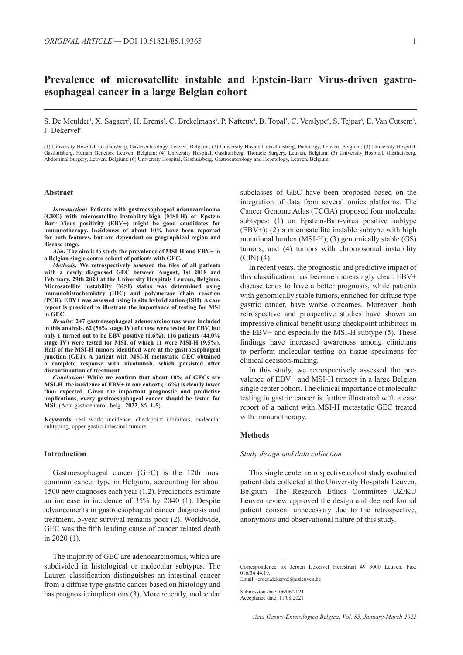# **Prevalence of microsatellite instable and Epstein-Barr Virus-driven gastroesophageal cancer in a large Belgian cohort**

S. De Meulder<sup>i</sup>, X. Sagaert<sup>2</sup>, H. Brems<sup>3</sup>, C. Brekelmans<sup>3</sup>, P. Nafteux<sup>4</sup>, B. Topal<sup>5</sup>, C. Verslype<sup>6</sup>, S. Tejpar<sup>6</sup>, E. Van Cutsem<sup>6</sup>, J. Dekervel<sup>6</sup>

(1) University Hospital, Gasthuisberg, Gastroenterology, Leuven, Belgium; (2) University Hospital, Gasthuisberg, Pathology, Leuven, Belgium; (3) University Hospital, Gasthuisberg, Human Genetics, Leuven, Belgium; (4) University Hospital, Gasthuisberg, Thoracic Surgery, Leuven, Belgium; (5) University Hospital, Gasthuisberg, Abdominal Surgery, Leuven, Belgium; (6) University Hospital, Gasthuisberg, Gastroenterology and Hepatology, Leuven, Belgium.

#### **Abstract**

*Introduction:* **Patients with gastroesophageal adenocarcinoma (GEC) with microsatellite instability-high (MSI-H) or Epstein Barr Virus positivity (EBV+) might be good candidates for immunotherapy. Incidences of about 10% have been reported for both features, but are dependent on geographical region and disease stage.**

*Aim:* **The aim is to study the prevalence of MSI-H and EBV+ in a Belgian single center cohort of patients with GEC.**

*Methods:* **We retrospectively assessed the files of all patients with a newly diagnosed GEC between August, 1st 2018 and February, 29th 2020 at the University Hospitals Leuven, Belgium. Microsatellite instability (MSI) status was determined using immunohistochemistry (IHC) and polymerase chain reaction (PCR). EBV+ was assessed using in situ hybridization (ISH). A case report is provided to illustrate the importance of testing for MSI in GEC.**

*Results:* **247 gastroesophageal adenocarcinomas were included in this analysis. 62 (56% stage IV) of those were tested for EBV, but only 1 turned out to be EBV positive (1.6%). 116 patients (44.0% stage IV) were tested for MSI, of which 11 were MSI-H (9.5%). Half of the MSI-H tumors identified were at the gastroesophageal junction (GEJ). A patient with MSI-H metastatic GEC obtained a complete response with nivolumab, which persisted after discontinuation of treatment.**

*Conclusion:* **While we confirm that about 10% of GECs are MSI-H, the incidence of EBV+ in our cohort (1.6%) is clearly lower than expected. Given the important prognostic and predictive implications, every gastroesophageal cancer should be tested for MSI.** (Acta gastroenterol. belg., **2022,** 85, **1-5**).

**Keywords**: real world incidence, checkpoint inhibitors, molecular subtyping, upper gastro-intestinal tumors.

# **Introduction**

Gastroesophageal cancer (GEC) is the 12th most common cancer type in Belgium, accounting for about 1500 new diagnoses each year (1,2). Predictions estimate an increase in incidence of 35% by 2040 (1). Despite advancements in gastroesophageal cancer diagnosis and treatment, 5-year survival remains poor (2). Worldwide, GEC was the fifth leading cause of cancer related death in 2020 (1).

The majority of GEC are adenocarcinomas, which are subdivided in histological or molecular subtypes. The Lauren classification distinguishes an intestinal cancer from a diffuse type gastric cancer based on histology and has prognostic implications (3). More recently, molecular subclasses of GEC have been proposed based on the integration of data from several omics platforms. The Cancer Genome Atlas (TCGA) proposed four molecular subtypes: (1) an Epstein-Barr-virus positive subtype (EBV+); (2) a microsatellite instable subtype with high mutational burden (MSI-H); (3) genomically stable (GS) tumors; and (4) tumors with chromosomal instability (CIN) (4).

In recent years, the prognostic and predictive impact of this classification has become increasingly clear. EBV+ disease tends to have a better prognosis, while patients with genomically stable tumors, enriched for diffuse type gastric cancer, have worse outcomes. Moreover, both retrospective and prospective studies have shown an impressive clinical benefit using checkpoint inhibitors in the EBV+ and especially the MSI-H subtype (5). These findings have increased awareness among clinicians to perform molecular testing on tissue specimens for clinical decision-making.

In this study, we retrospectively assessed the prevalence of EBV+ and MSI-H tumors in a large Belgian single center cohort. The clinical importance of molecular testing in gastric cancer is further illustrated with a case report of a patient with MSI-H metastatic GEC treated with immunotherapy.

# **Methods**

## *Study design and data collection*

This single center retrospective cohort study evaluated patient data collected at the University Hospitals Leuven, Belgium. The Research Ethics Committee UZ/KU Leuven review approved the design and deemed formal patient consent unnecessary due to the retrospective, anonymous and observational nature of this study.

Correspondence to: Jeroen Dekervel Herestraat 49 3000 Leuven. Fax: 016/34.44.19. Email: jeroen.dekervel@uzleuven.be

Submission date: 06/06/2021 Acceptance date: 11/08/2021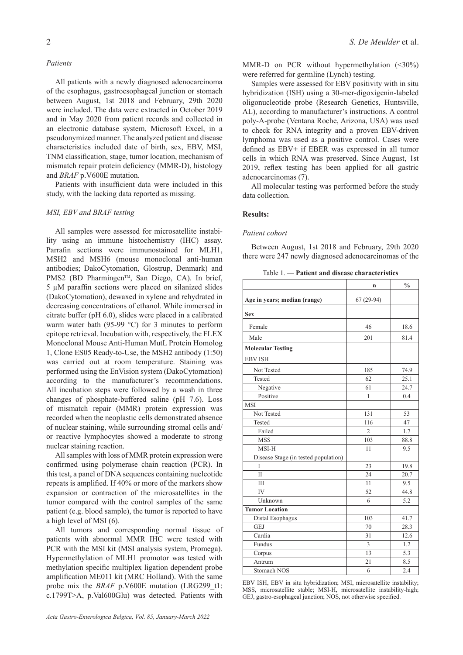# *Patients*

All patients with a newly diagnosed adenocarcinoma of the esophagus, gastroesophageal junction or stomach between August, 1st 2018 and February, 29th 2020 were included. The data were extracted in October 2019 and in May 2020 from patient records and collected in an electronic database system, Microsoft Excel, in a pseudonymized manner. The analyzed patient and disease characteristics included date of birth, sex, EBV, MSI, TNM classification, stage, tumor location, mechanism of mismatch repair protein deficiency (MMR-D), histology and *BRAF* p.V600E mutation.

Patients with insufficient data were included in this study, with the lacking data reported as missing.

# *MSI, EBV and BRAF testing*

All samples were assessed for microsatellite instability using an immune histochemistry (IHC) assay. Parrafin sections were immunostained for MLH1, MSH2 and MSH6 (mouse monoclonal anti-human antibodies; DakoCytomation, Glostrup, Denmark) and PMS2 (BD Pharmingen<sup>™</sup>, San Diego, CA). In brief, 5 µM paraffin sections were placed on silanized slides (DakoCytomation), dewaxed in xylene and rehydrated in decreasing concentrations of ethanol. While immersed in citrate buffer (pH 6.0), slides were placed in a calibrated warm water bath (95-99 °C) for 3 minutes to perform epitope retrieval. Incubation with, respectively, the FLEX Monoclonal Mouse Anti-Human MutL Protein Homolog 1, Clone ES05 Ready-to-Use, the MSH2 antibody (1:50) was carried out at room temperature. Staining was performed using the EnVision system (DakoCytomation) according to the manufacturer's recommendations. All incubation steps were followed by a wash in three changes of phosphate-buffered saline (pH 7.6). Loss of mismatch repair (MMR) protein expression was recorded when the neoplastic cells demonstrated absence of nuclear staining, while surrounding stromal cells and/ or reactive lymphocytes showed a moderate to strong nuclear staining reaction.

All samples with loss of MMR protein expression were confirmed using polymerase chain reaction (PCR). In this test, a panel of DNA sequences containing nucleotide repeats is amplified. If 40% or more of the markers show expansion or contraction of the microsatellites in the tumor compared with the control samples of the same patient (e.g. blood sample), the tumor is reported to have a high level of MSI (6).

All tumors and corresponding normal tissue of patients with abnormal MMR IHC were tested with PCR with the MSI kit (MSI analysis system, Promega). Hypermethylation of MLH1 promotor was tested with methylation specific multiplex ligation dependent probe amplification ME011 kit (MRC Holland). With the same probe mix the *BRAF* p.V600E mutation (LRG299 t1: c.1799T>A, p.Val600Glu) was detected. Patients with

MMR-D on PCR without hypermethylation (<30%) were referred for germline (Lynch) testing.

Samples were assessed for EBV positivity with in situ hybridization (ISH) using a 30-mer-digoxigenin-labeled oligonucleotide probe (Research Genetics, Huntsville, AL), according to manufacturer's instructions. A control poly-A-probe (Ventana Roche, Arizona, USA) was used to check for RNA integrity and a proven EBV-driven lymphoma was used as a positive control. Cases were defined as EBV+ if EBER was expressed in all tumor cells in which RNA was preserved. Since August, 1st 2019, reflex testing has been applied for all gastric adenocarcinomas (7).

All molecular testing was performed before the study data collection.

# **Results:**

#### *Patient cohort*

Between August, 1st 2018 and February, 29th 2020 there were 247 newly diagnosed adenocarcinomas of the

Table 1. — **Patient and disease characteristics**

|                                      | $\mathbf n$              | $\frac{0}{0}$ |
|--------------------------------------|--------------------------|---------------|
| Age in years; median (range)         | $67(29-94)$              |               |
|                                      |                          |               |
| <b>Sex</b>                           |                          |               |
| Female                               | 46                       | 18.6          |
| Male                                 | 201                      | 81.4          |
| <b>Molecular Testing</b>             |                          |               |
| <b>EBV ISH</b>                       |                          |               |
| Not Tested                           | 185                      | 74.9          |
| Tested                               | 62                       | 25.1          |
| Negative                             | 61                       | 24.7          |
| Positive                             | 1                        | 0.4           |
| <b>MSI</b>                           |                          |               |
| Not Tested                           | 131                      | 53            |
| Tested                               | 116                      | 47            |
| Failed                               | $\overline{\mathcal{L}}$ | 1.7           |
| <b>MSS</b>                           | 103                      | 88.8          |
| MSI-H                                | 11                       | 9.5           |
| Disease Stage (in tested population) |                          |               |
| Ī                                    | 23                       | 19.8          |
| $\overline{\mathbf{H}}$              | 24                       | 20.7          |
| Ш                                    | 11                       | 9.5           |
| IV                                   | 52                       | 44.8          |
| Unknown                              | 6                        | 5.2           |
| <b>Tumor Location</b>                |                          |               |
| Distal Esophagus                     | 103                      | 41.7          |
| <b>GEJ</b>                           | 70                       | 28.3          |
| Cardia                               | 31                       | 12.6          |
| Fundus                               | 3                        | 1.2           |
| Corpus                               | 13                       | 5.3           |
| Antrum                               | 21                       | 8.5           |
| Stomach NOS                          | 6                        | 2.4           |

EBV ISH, EBV in situ hybridization; MSI, microsatellite instability; MSS, microsatellite stable; MSI-H, microsatellite instability-high; GEJ, gastro-esophageal junction; NOS, not otherwise specified.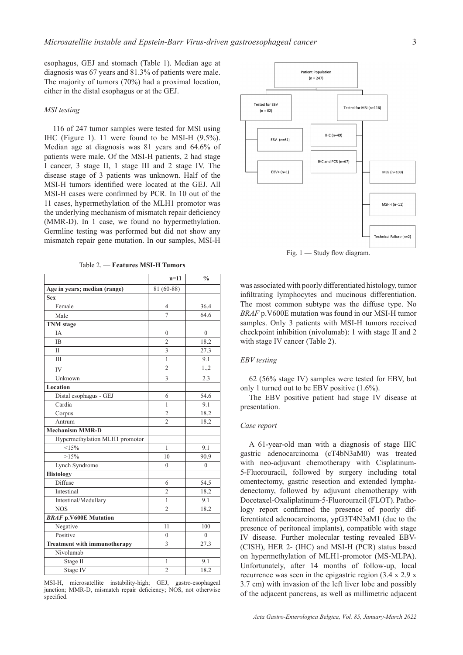esophagus, GEJ and stomach (Table 1). Median age at diagnosis was 67 years and 81.3% of patients were male. The majority of tumors (70%) had a proximal location, either in the distal esophagus or at the GEJ.

# *MSI testing*

116 of 247 tumor samples were tested for MSI using IHC (Figure 1). 11 were found to be MSI-H (9.5%). Median age at diagnosis was 81 years and 64.6% of patients were male. Of the MSI-H patients, 2 had stage I cancer, 3 stage II, 1 stage III and 2 stage IV. The disease stage of 3 patients was unknown. Half of the MSI-H tumors identified were located at the GEJ. All MSI-H cases were confirmed by PCR. In 10 out of the 11 cases, hypermethylation of the MLH1 promotor was the underlying mechanism of mismatch repair deficiency (MMR-D). In 1 case, we found no hypermethylation. Germline testing was performed but did not show any mismatch repair gene mutation. In our samples, MSI-H

Table 2. — **Features MSI-H Tumors**

|                                     | $n = 11$       | $\frac{0}{0}$ |
|-------------------------------------|----------------|---------------|
| Age in years; median (range)        | 81 (60-88)     |               |
| <b>Sex</b>                          |                |               |
| Female                              | 4              | 36.4          |
| Male                                | $\overline{7}$ | 64.6          |
| <b>TNM</b> stage                    |                |               |
| <b>IA</b>                           | $\mathbf{0}$   | $\theta$      |
| <b>IB</b>                           | $\overline{c}$ | 18.2          |
| $\mathbf{I}$                        | 3              | 27.3          |
| III                                 | $\mathbf{1}$   | 9.1           |
| <b>IV</b>                           | 2              | 1,2           |
| Unknown                             | 3              | 2.3           |
| Location                            |                |               |
| Distal esophagus - GEJ              | 6              | 54.6          |
| Cardia                              | 1              | 9.1           |
| Corpus                              | $\overline{2}$ | 18.2          |
| Antrum                              | $\mathfrak{D}$ | 18.2          |
| <b>Mechanism MMR-D</b>              |                |               |
| Hypermethylation MLH1 promotor      |                |               |
| <15%                                | 1              | 9.1           |
| $>15\%$                             | 10             | 90.9          |
| Lynch Syndrome                      | $\theta$       | $\theta$      |
| <b>Histology</b>                    |                |               |
| Diffuse                             | 6              | 54.5          |
| Intestinal                          | $\overline{2}$ | 18.2          |
| Intestinal/Medullary                | 1              | 9.1           |
| <b>NOS</b>                          | $\overline{2}$ | 18.2          |
| <b>BRAF p.V600E Mutation</b>        |                |               |
| Negative                            | 11             | 100           |
| Positive                            | $\theta$       | $\theta$      |
| <b>Treatment with immunotherapy</b> | 3              | 27.3          |
| Nivolumab                           |                |               |
| Stage II                            | 1              | 9.1           |
| Stage IV                            | $\overline{2}$ | 18.2          |

MSI-H, microsatellite instability-high; GEJ, gastro-esophageal junction; MMR-D, mismatch repair deficiency; NOS, not otherwise specified.



Fig. 1 — Study flow diagram.

was associated with poorly differentiated histology, tumor infiltrating lymphocytes and mucinous differentiation. The most common subtype was the diffuse type. No *BRAF* p.V600E mutation was found in our MSI-H tumor samples. Only 3 patients with MSI-H tumors received checkpoint inhibition (nivolumab): 1 with stage II and 2 with stage IV cancer (Table 2).

## *EBV testing*

62 (56% stage IV) samples were tested for EBV, but only 1 turned out to be EBV positive (1.6%).

The EBV positive patient had stage IV disease at presentation.

# *Case report*

A 61-year-old man with a diagnosis of stage IIIC gastric adenocarcinoma (cT4bN3aM0) was treated with neo-adjuvant chemotherapy with Cisplatinum-5-Fluorouracil, followed by surgery including total omentectomy, gastric resection and extended lymphadenectomy, followed by adjuvant chemotherapy with Docetaxel-Oxaliplatinum-5-Fluorouracil (FLOT). Pathology report confirmed the presence of poorly differentiated adenocarcinoma, ypG3T4N3aM1 (due to the presence of peritoneal implants), compatible with stage IV disease. Further molecular testing revealed EBV- (CISH), HER 2- (IHC) and MSI-H (PCR) status based on hypermethylation of MLH1-promotor (MS-MLPA). Unfortunately, after 14 months of follow-up, local recurrence was seen in the epigastric region (3.4 x 2.9 x 3.7 cm) with invasion of the left liver lobe and possibly of the adjacent pancreas, as well as millimetric adjacent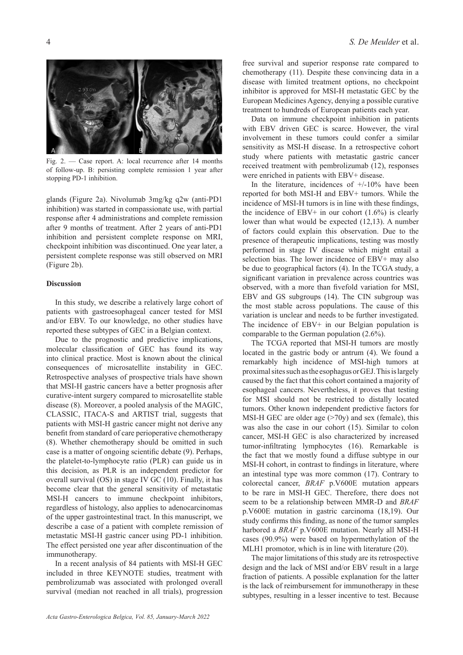

Fig. 2. — Case report. A: local recurrence after 14 months of follow-up. B: persisting complete remission 1 year after stopping PD-1 inhibition.

glands (Figure 2a). Nivolumab 3mg/kg q2w (anti-PD1 inhibition) was started in compassionate use, with partial response after 4 administrations and complete remission after 9 months of treatment. After 2 years of anti-PD1 inhibition and persistent complete response on MRI, checkpoint inhibition was discontinued. One year later, a persistent complete response was still observed on MRI (Figure 2b).

## **Discussion**

In this study, we describe a relatively large cohort of patients with gastroesophageal cancer tested for MSI and/or EBV. To our knowledge, no other studies have reported these subtypes of GEC in a Belgian context.

Due to the prognostic and predictive implications, molecular classification of GEC has found its way into clinical practice. Most is known about the clinical consequences of microsatellite instability in GEC. Retrospective analyses of prospective trials have shown that MSI-H gastric cancers have a better prognosis after curative-intent surgery compared to microsatellite stable disease (8). Moreover, a pooled analysis of the MAGIC, CLASSIC, ITACA-S and ARTIST trial, suggests that patients with MSI-H gastric cancer might not derive any benefit from standard of care perioperative chemotherapy (8). Whether chemotherapy should be omitted in such case is a matter of ongoing scientific debate (9). Perhaps, the platelet-to-lymphocyte ratio (PLR) can guide us in this decision, as PLR is an independent predictor for overall survival (OS) in stage IV GC (10). Finally, it has become clear that the general sensitivity of metastatic MSI-H cancers to immune checkpoint inhibitors, regardless of histology, also applies to adenocarcinomas of the upper gastrointestinal tract. In this manuscript, we describe a case of a patient with complete remission of metastatic MSI-H gastric cancer using PD-1 inhibition. The effect persisted one year after discontinuation of the immunotherapy.

In a recent analysis of 84 patients with MSI-H GEC included in three KEYNOTE studies, treatment with pembrolizumab was associated with prolonged overall survival (median not reached in all trials), progression free survival and superior response rate compared to chemotherapy (11). Despite these convincing data in a disease with limited treatment options, no checkpoint inhibitor is approved for MSI-H metastatic GEC by the European Medicines Agency, denying a possible curative treatment to hundreds of European patients each year.

Data on immune checkpoint inhibition in patients with EBV driven GEC is scarce. However, the viral involvement in these tumors could confer a similar sensitivity as MSI-H disease. In a retrospective cohort study where patients with metastatic gastric cancer received treatment with pembrolizumab (12), responses were enriched in patients with EBV+ disease.

In the literature, incidences of  $+/-10\%$  have been reported for both MSI-H and EBV+ tumors. While the incidence of MSI-H tumors is in line with these findings, the incidence of EBV+ in our cohort  $(1.6\%)$  is clearly lower than what would be expected (12,13). A number of factors could explain this observation. Due to the presence of therapeutic implications, testing was mostly performed in stage IV disease which might entail a selection bias. The lower incidence of EBV+ may also be due to geographical factors (4). In the TCGA study, a significant variation in prevalence across countries was observed, with a more than fivefold variation for MSI, EBV and GS subgroups (14). The CIN subgroup was the most stable across populations. The cause of this variation is unclear and needs to be further investigated. The incidence of EBV+ in our Belgian population is comparable to the German population (2.6%).

The TCGA reported that MSI-H tumors are mostly located in the gastric body or antrum (4). We found a remarkably high incidence of MSI-high tumors at proximal sites such as the esophagus or GEJ. This is largely caused by the fact that this cohort contained a majority of esophageal cancers. Nevertheless, it proves that testing for MSI should not be restricted to distally located tumors. Other known independent predictive factors for MSI-H GEC are older age  $($ >70y) and sex (female), this was also the case in our cohort (15). Similar to colon cancer, MSI-H GEC is also characterized by increased tumor-infiltrating lymphocytes (16). Remarkable is the fact that we mostly found a diffuse subtype in our MSI-H cohort, in contrast to findings in literature, where an intestinal type was more common (17). Contrary to colorectal cancer, *BRAF* p.V600E mutation appears to be rare in MSI-H GEC. Therefore, there does not seem to be a relationship between MMR-D and *BRAF* p.V600E mutation in gastric carcinoma (18,19). Our study confirms this finding, as none of the tumor samples harbored a *BRAF* p.V600E mutation. Nearly all MSI-H cases (90.9%) were based on hypermethylation of the MLH1 promotor, which is in line with literature (20).

The major limitations of this study are its retrospective design and the lack of MSI and/or EBV result in a large fraction of patients. A possible explanation for the latter is the lack of reimbursement for immunotherapy in these subtypes, resulting in a lesser incentive to test. Because